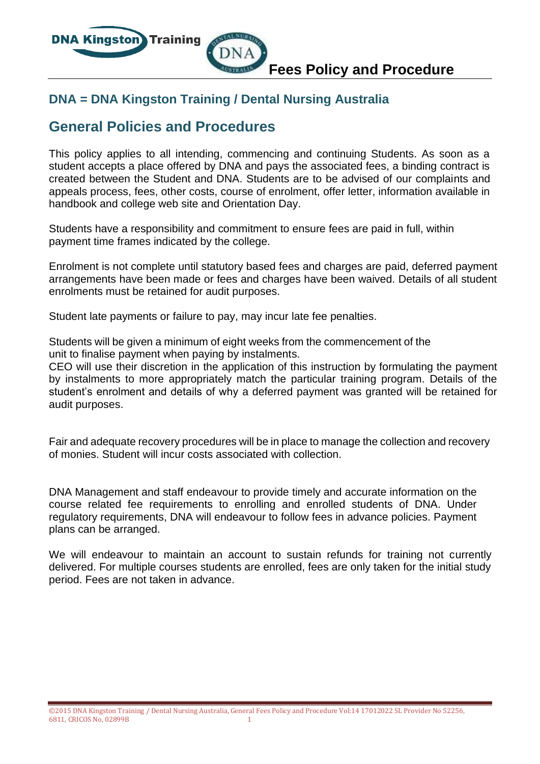

## **DNA = DNA Kingston Training / Dental Nursing Australia**

## **General Policies and Procedures**

This policy applies to all intending, commencing and continuing Students. As soon as a student accepts a place offered by DNA and pays the associated fees, a binding contract is created between the Student and DNA. Students are to be advised of our complaints and appeals process, fees, other costs, course of enrolment, offer letter, information available in handbook and college web site and Orientation Day.

Students have a responsibility and commitment to ensure fees are paid in full, within payment time frames indicated by the college.

Enrolment is not complete until statutory based fees and charges are paid, deferred payment arrangements have been made or fees and charges have been waived. Details of all student enrolments must be retained for audit purposes.

Student late payments or failure to pay, may incur late fee penalties.

Students will be given a minimum of eight weeks from the commencement of the unit to finalise payment when paying by instalments.

CEO will use their discretion in the application of this instruction by formulating the payment by instalments to more appropriately match the particular training program. Details of the student's enrolment and details of why a deferred payment was granted will be retained for audit purposes.

Fair and adequate recovery procedures will be in place to manage the collection and recovery of monies. Student will incur costs associated with collection.

DNA Management and staff endeavour to provide timely and accurate information on the course related fee requirements to enrolling and enrolled students of DNA. Under regulatory requirements, DNA will endeavour to follow fees in advance policies. Payment plans can be arranged.

We will endeavour to maintain an account to sustain refunds for training not currently delivered. For multiple courses students are enrolled, fees are only taken for the initial study period. Fees are not taken in advance.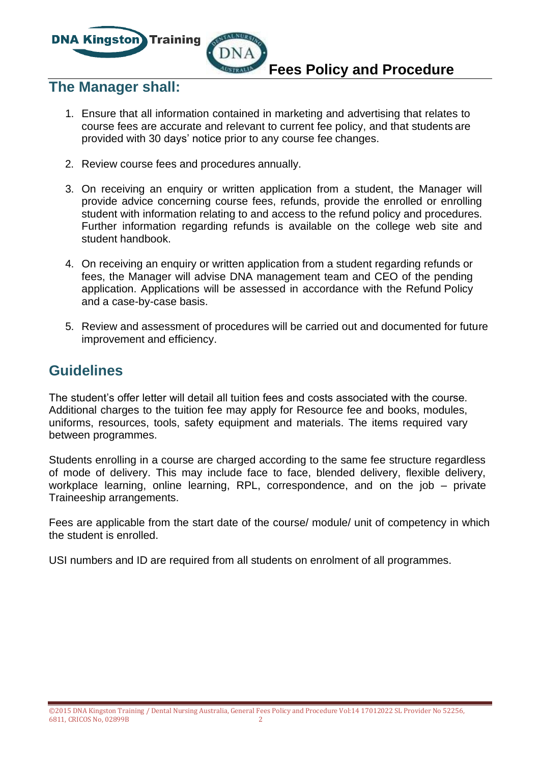**DNA Kingston** Training

## **Fees Policy and Procedure**

# **The Manager shall:**

- 1. Ensure that all information contained in marketing and advertising that relates to course fees are accurate and relevant to current fee policy, and that students are provided with 30 days' notice prior to any course fee changes.
- 2. Review course fees and procedures annually.
- 3. On receiving an enquiry or written application from a student, the Manager will provide advice concerning course fees, refunds, provide the enrolled or enrolling student with information relating to and access to the refund policy and procedures. Further information regarding refunds is available on the college web site and student handbook.
- 4. On receiving an enquiry or written application from a student regarding refunds or fees, the Manager will advise DNA management team and CEO of the pending application. Applications will be assessed in accordance with the Refund Policy and a case-by-case basis.
- 5. Review and assessment of procedures will be carried out and documented for future improvement and efficiency.

## **Guidelines**

The student's offer letter will detail all tuition fees and costs associated with the course. Additional charges to the tuition fee may apply for Resource fee and books, modules, uniforms, resources, tools, safety equipment and materials. The items required vary between programmes.

Students enrolling in a course are charged according to the same fee structure regardless of mode of delivery. This may include face to face, blended delivery, flexible delivery, workplace learning, online learning, RPL, correspondence, and on the job – private Traineeship arrangements.

Fees are applicable from the start date of the course/ module/ unit of competency in which the student is enrolled.

USI numbers and ID are required from all students on enrolment of all programmes.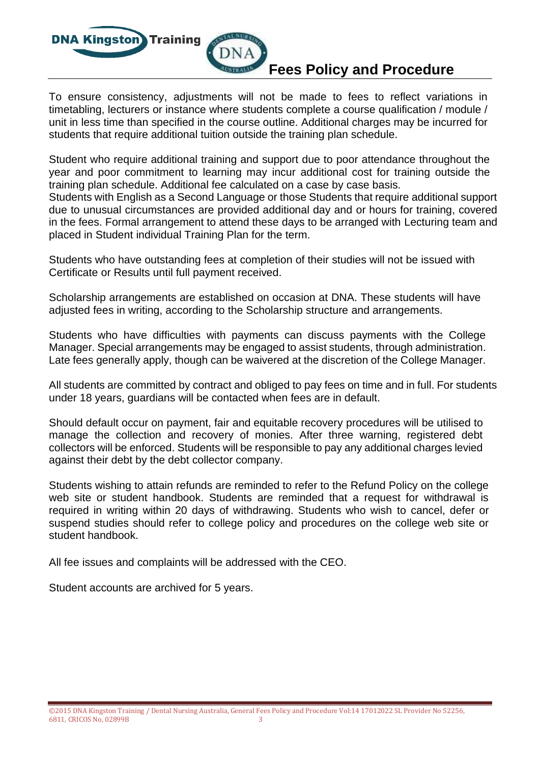Training

## **Fees Policy and Procedure**

To ensure consistency, adjustments will not be made to fees to reflect variations in timetabling, lecturers or instance where students complete a course qualification / module / unit in less time than specified in the course outline. Additional charges may be incurred for students that require additional tuition outside the training plan schedule.

Student who require additional training and support due to poor attendance throughout the year and poor commitment to learning may incur additional cost for training outside the training plan schedule. Additional fee calculated on a case by case basis.

Students with English as a Second Language or those Students that require additional support due to unusual circumstances are provided additional day and or hours for training, covered in the fees. Formal arrangement to attend these days to be arranged with Lecturing team and placed in Student individual Training Plan for the term.

Students who have outstanding fees at completion of their studies will not be issued with Certificate or Results until full payment received.

Scholarship arrangements are established on occasion at DNA. These students will have adjusted fees in writing, according to the Scholarship structure and arrangements.

Students who have difficulties with payments can discuss payments with the College Manager. Special arrangements may be engaged to assist students, through administration. Late fees generally apply, though can be waivered at the discretion of the College Manager.

All students are committed by contract and obliged to pay fees on time and in full. For students under 18 years, guardians will be contacted when fees are in default.

Should default occur on payment, fair and equitable recovery procedures will be utilised to manage the collection and recovery of monies. After three warning, registered debt collectors will be enforced. Students will be responsible to pay any additional charges levied against their debt by the debt collector company.

Students wishing to attain refunds are reminded to refer to the Refund Policy on the college web site or student handbook. Students are reminded that a request for withdrawal is required in writing within 20 days of withdrawing. Students who wish to cancel, defer or suspend studies should refer to college policy and procedures on the college web site or student handbook.

All fee issues and complaints will be addressed with the CEO.

Student accounts are archived for 5 years.

**DNA Kingston**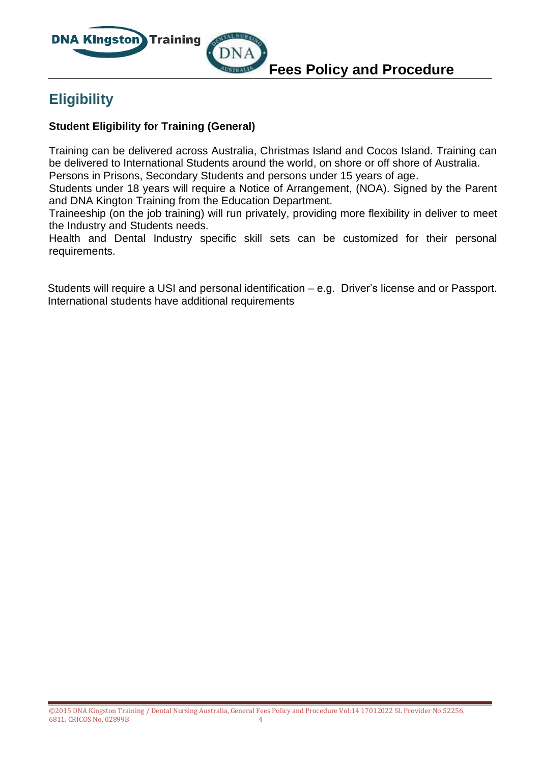

## **Fees Policy and Procedure**

# **Eligibility**

### **Student Eligibility for Training (General)**

Training can be delivered across Australia, Christmas Island and Cocos Island. Training can be delivered to International Students around the world, on shore or off shore of Australia.

Persons in Prisons, Secondary Students and persons under 15 years of age.

Students under 18 years will require a Notice of Arrangement, (NOA). Signed by the Parent and DNA Kington Training from the Education Department.

Traineeship (on the job training) will run privately, providing more flexibility in deliver to meet the Industry and Students needs.

Health and Dental Industry specific skill sets can be customized for their personal requirements.

 Students will require a USI and personal identification – e.g. Driver's license and or Passport. International students have additional requirements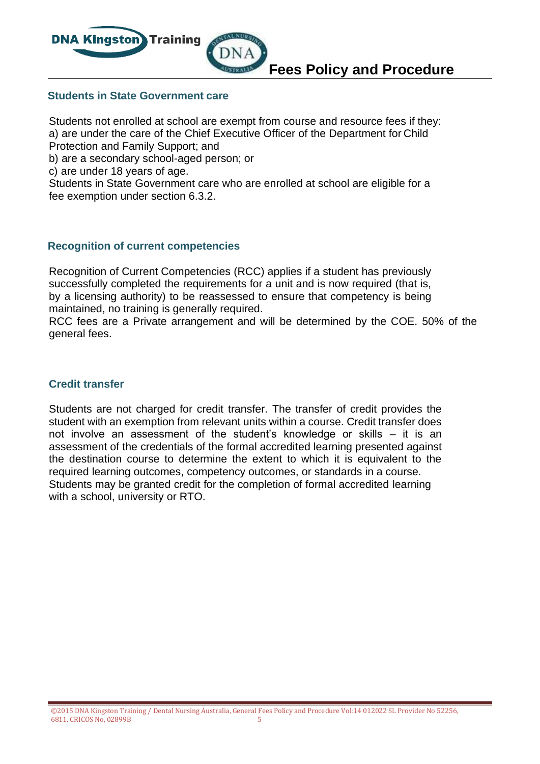

#### **Students in State Government care**

Students not enrolled at school are exempt from course and resource fees if they: a) are under the care of the Chief Executive Officer of the Department for Child Protection and Family Support; and b) are a secondary school-aged person; or

c) are under 18 years of age.

Students in State Government care who are enrolled at school are eligible for a fee exemption under section 6.3.2.

#### **Recognition of current competencies**

Recognition of Current Competencies (RCC) applies if a student has previously successfully completed the requirements for a unit and is now required (that is, by a licensing authority) to be reassessed to ensure that competency is being maintained, no training is generally required.

RCC fees are a Private arrangement and will be determined by the COE. 50% of the general fees.

#### **Credit transfer**

Students are not charged for credit transfer. The transfer of credit provides the student with an exemption from relevant units within a course. Credit transfer does not involve an assessment of the student's knowledge or skills – it is an assessment of the credentials of the formal accredited learning presented against the destination course to determine the extent to which it is equivalent to the required learning outcomes, competency outcomes, or standards in a course. Students may be granted credit for the completion of formal accredited learning with a school, university or RTO.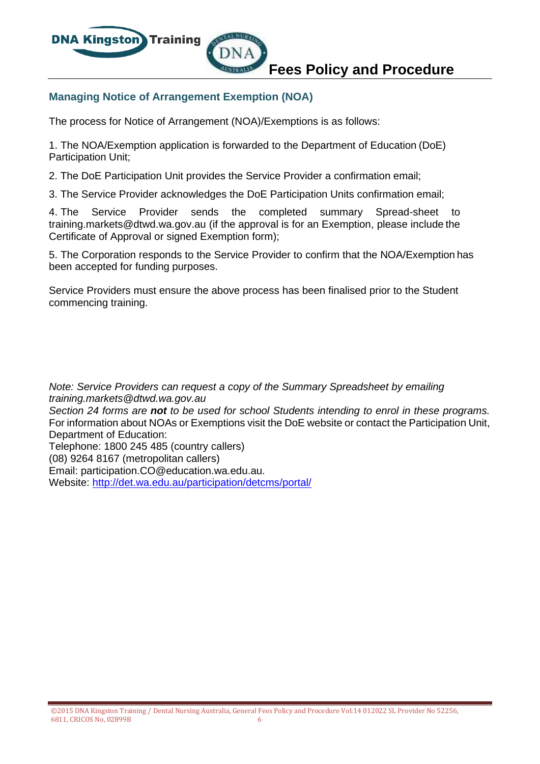

#### **Managing Notice of Arrangement Exemption (NOA)**

The process for Notice of Arrangement (NOA)/Exemptions is as follows:

1. The NOA/Exemption application is forwarded to the Department of Education (DoE) Participation Unit;

2. The DoE Participation Unit provides the Service Provider a confirmation email;

3. The Service Provider acknowledges the DoE Participation Units confirmation email;

4. The Service Provider sends the completed summary Spread-sheet t[o](mailto:training.markets@dtwd.wa.gov.au) [training.markets@dtwd.wa.gov.au \(](mailto:training.markets@dtwd.wa.gov.au)if the approval is for an Exemption, please include the Certificate of Approval or signed Exemption form);

5. The Corporation responds to the Service Provider to confirm that the NOA/Exemption has been accepted for funding purposes.

Service Providers must ensure the above process has been finalised prior to the Student commencing training.

*Note: Service Providers can request a copy of the Summary Spreadsheet by emailing [training.markets@dtwd.wa.gov.au](mailto:training.markets@dtwd.wa.gov.au) Section 24 forms are not to be used for school Students intending to enrol in these programs.*  For information about NOAs or Exemptions visit the DoE website or contact the Participation Unit, Department of Education: Telephone: 1800 245 485 (country callers) (08) 9264 8167 (metropolitan callers) Email: [participation.CO@education.wa.edu.au.](mailto:participation.CO@education.wa.edu.au) Website:<http://det.wa.edu.au/participation/detcms/portal/>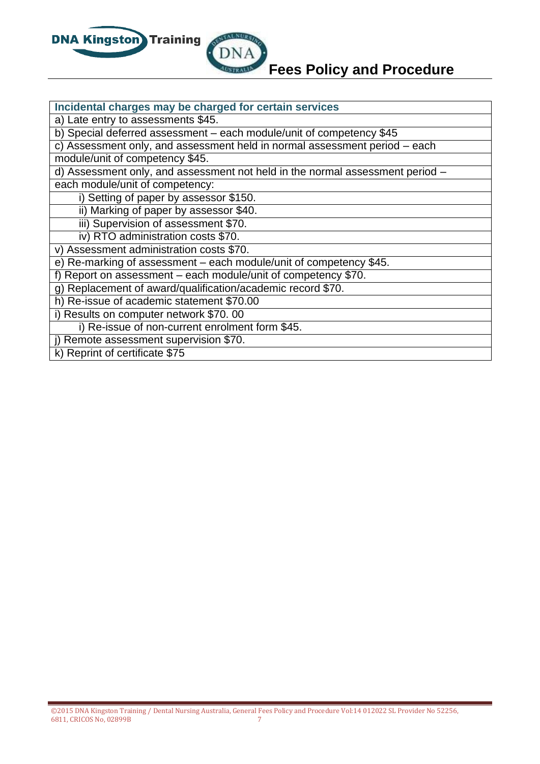

| Incidental charges may be charged for certain services                        |
|-------------------------------------------------------------------------------|
| a) Late entry to assessments \$45.                                            |
| b) Special deferred assessment - each module/unit of competency \$45          |
| c) Assessment only, and assessment held in normal assessment period – each    |
| module/unit of competency \$45.                                               |
| d) Assessment only, and assessment not held in the normal assessment period - |
| each module/unit of competency:                                               |
| i) Setting of paper by assessor \$150.                                        |
| ii) Marking of paper by assessor \$40.                                        |
| iii) Supervision of assessment \$70.                                          |
| iv) RTO administration costs \$70.                                            |
| v) Assessment administration costs \$70.                                      |
| e) Re-marking of assessment – each module/unit of competency \$45.            |
| f) Report on assessment - each module/unit of competency \$70.                |
| g) Replacement of award/qualification/academic record \$70.                   |
| h) Re-issue of academic statement \$70.00                                     |
| i) Results on computer network \$70.00                                        |
| i) Re-issue of non-current enrolment form \$45.                               |
| i) Remote assessment supervision \$70.                                        |
| k) Reprint of certificate \$75                                                |
|                                                                               |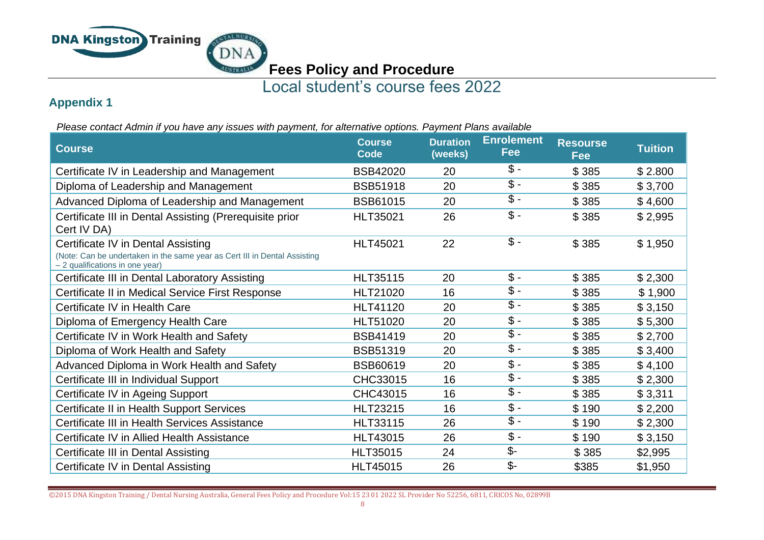

**Fees Policy and Procedure**

# Local student's course fees 2022

### **Appendix 1**

 *Please contact Admin if you have any issues with payment, for alternative options. Payment Plans available* 

| <b>Course</b>                                                                                                                                      | <b>Course</b><br>Code | <b>Duration</b><br>(weeks) | <b>Enrolement</b><br>Fee | <b>Resourse</b><br>Fee | <b>Tuition</b> |
|----------------------------------------------------------------------------------------------------------------------------------------------------|-----------------------|----------------------------|--------------------------|------------------------|----------------|
| Certificate IV in Leadership and Management                                                                                                        | <b>BSB42020</b>       | 20                         | $\overline{\$}$ -        | \$385                  | \$2.800        |
| Diploma of Leadership and Management                                                                                                               | <b>BSB51918</b>       | 20                         | $\overline{\$}$ -        | \$385                  | \$3,700        |
| Advanced Diploma of Leadership and Management                                                                                                      | <b>BSB61015</b>       | 20                         | $$ -$                    | \$385                  | \$4,600        |
| Certificate III in Dental Assisting (Prerequisite prior<br>Cert IV DA)                                                                             | <b>HLT35021</b>       | 26                         | $$ -$                    | \$385                  | \$2,995        |
| Certificate IV in Dental Assisting<br>(Note: Can be undertaken in the same year as Cert III in Dental Assisting<br>- 2 qualifications in one year) | <b>HLT45021</b>       | 22                         | $\overline{\$}$ -        | \$385                  | \$1,950        |
| Certificate III in Dental Laboratory Assisting                                                                                                     | <b>HLT35115</b>       | 20                         | $$ -$                    | \$385                  | \$2,300        |
| Certificate II in Medical Service First Response                                                                                                   | HLT21020              | 16                         | $\overline{\$}$ -        | \$385                  | \$1,900        |
| Certificate IV in Health Care                                                                                                                      | <b>HLT41120</b>       | 20                         | $\overline{\$}$ -        | \$385                  | \$3,150        |
| Diploma of Emergency Health Care                                                                                                                   | <b>HLT51020</b>       | 20                         | $$ -$                    | \$385                  | \$5,300        |
| Certificate IV in Work Health and Safety                                                                                                           | <b>BSB41419</b>       | 20                         | $\overline{\$}$ -        | \$385                  | \$2,700        |
| Diploma of Work Health and Safety                                                                                                                  | <b>BSB51319</b>       | 20                         | $\overline{\$}$ -        | \$385                  | \$3,400        |
| Advanced Diploma in Work Health and Safety                                                                                                         | <b>BSB60619</b>       | 20                         | $$ -$                    | \$385                  | \$4,100        |
| Certificate III in Individual Support                                                                                                              | CHC33015              | 16                         | $$ -$                    | \$385                  | \$2,300        |
| Certificate IV in Ageing Support                                                                                                                   | CHC43015              | 16                         | $\overline{\$}$ -        | \$385                  | \$3,311        |
| Certificate II in Health Support Services                                                                                                          | <b>HLT23215</b>       | 16                         | $$ -$                    | \$190                  | \$2,200        |
| Certificate III in Health Services Assistance                                                                                                      | <b>HLT33115</b>       | 26                         | $\overline{\$}$ -        | \$190                  | \$2,300        |
| Certificate IV in Allied Health Assistance                                                                                                         | <b>HLT43015</b>       | 26                         | $$ -$                    | \$190                  | \$3,150        |
| <b>Certificate III in Dental Assisting</b>                                                                                                         | <b>HLT35015</b>       | 24                         | $\frac{2}{2}$            | \$385                  | \$2,995        |
| Certificate IV in Dental Assisting                                                                                                                 | <b>HLT45015</b>       | 26                         | \$-                      | \$385                  | \$1,950        |

©2015 DNA Kingston Training / Dental Nursing Australia, General Fees Policy and Procedure Vol:15 23 01 2022 SL Provider No 52256, 6811, CRICOS No, 02899B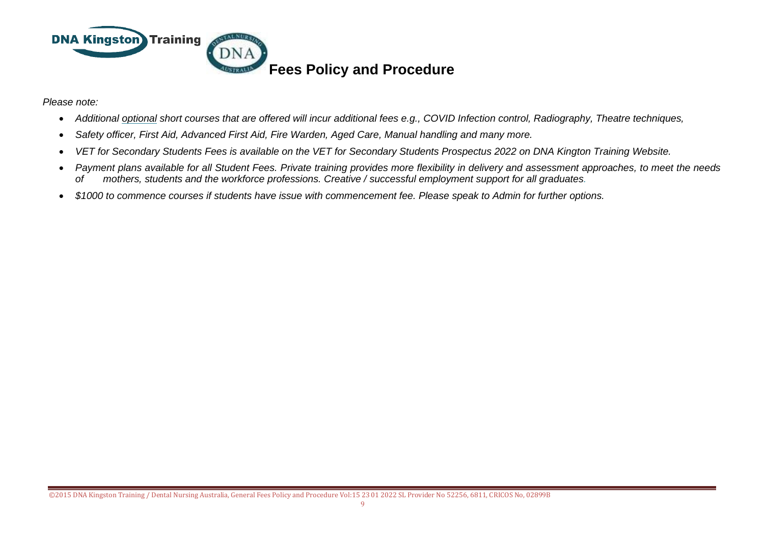

*Please note:*

- *Additional optional short courses that are offered will incur additional fees e.g., COVID Infection control, Radiography, Theatre techniques,*
- *Safety officer, First Aid, Advanced First Aid, Fire Warden, Aged Care, Manual handling and many more.*
- *VET for Secondary Students Fees is available on the VET for Secondary Students Prospectus 2022 on DNA Kington Training Website.*
- *Payment plans available for all Student Fees. Private training provides more flexibility in delivery and assessment approaches, to meet the needs of mothers, students and the workforce professions. Creative / successful employment support for all graduates.*
- *\$1000 to commence courses if students have issue with commencement fee. Please speak to Admin for further options.*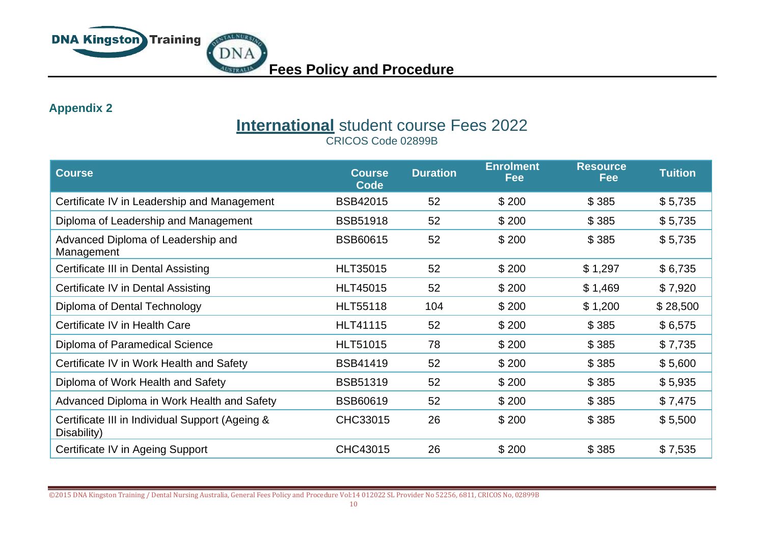

**Appendix 2**

# **International** student course Fees 2022

CRICOS Code 02899B

| <b>Course</b>                                                  | <b>Course</b><br><b>Code</b> | <b>Duration</b> | <b>Enrolment</b><br>Fee | <b>Resource</b><br><b>Fee</b> | <b>Tuition</b> |
|----------------------------------------------------------------|------------------------------|-----------------|-------------------------|-------------------------------|----------------|
| Certificate IV in Leadership and Management                    | <b>BSB42015</b>              | 52              | \$200                   | \$385                         | \$5,735        |
| Diploma of Leadership and Management                           | <b>BSB51918</b>              | 52              | \$200                   | \$385                         | \$5,735        |
| Advanced Diploma of Leadership and<br>Management               | <b>BSB60615</b>              | 52              | \$200                   | \$385                         | \$5,735        |
| Certificate III in Dental Assisting                            | <b>HLT35015</b>              | 52              | \$200                   | \$1,297                       | \$6,735        |
| Certificate IV in Dental Assisting                             | <b>HLT45015</b>              | 52              | \$200                   | \$1,469                       | \$7,920        |
| Diploma of Dental Technology                                   | <b>HLT55118</b>              | 104             | \$200                   | \$1,200                       | \$28,500       |
| Certificate IV in Health Care                                  | <b>HLT41115</b>              | 52              | \$200                   | \$385                         | \$6,575        |
| Diploma of Paramedical Science                                 | <b>HLT51015</b>              | 78              | \$200                   | \$385                         | \$7,735        |
| Certificate IV in Work Health and Safety                       | <b>BSB41419</b>              | 52              | \$200                   | \$385                         | \$5,600        |
| Diploma of Work Health and Safety                              | <b>BSB51319</b>              | 52              | \$200                   | \$385                         | \$5,935        |
| Advanced Diploma in Work Health and Safety                     | <b>BSB60619</b>              | 52              | \$200                   | \$385                         | \$7,475        |
| Certificate III in Individual Support (Ageing &<br>Disability) | CHC33015                     | 26              | \$200                   | \$385                         | \$5,500        |
| Certificate IV in Ageing Support                               | CHC43015                     | 26              | \$200                   | \$385                         | \$7,535        |

©2015 DNA Kingston Training / Dental Nursing Australia, General Fees Policy and Procedure Vol:14 012022 SL Provider No 52256, 6811, CRICOS No, 02899B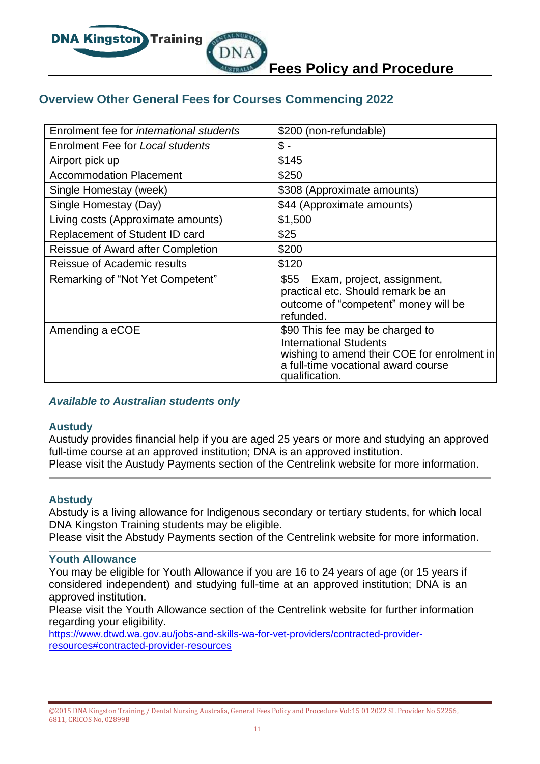

## **Overview Other General Fees for Courses Commencing 2022**

| Enrolment fee for <i>international</i> students | \$200 (non-refundable)                                                                                                                                                   |
|-------------------------------------------------|--------------------------------------------------------------------------------------------------------------------------------------------------------------------------|
| <b>Enrolment Fee for Local students</b>         | \$ -                                                                                                                                                                     |
| Airport pick up                                 | \$145                                                                                                                                                                    |
| <b>Accommodation Placement</b>                  | \$250                                                                                                                                                                    |
| Single Homestay (week)                          | \$308 (Approximate amounts)                                                                                                                                              |
| Single Homestay (Day)                           | \$44 (Approximate amounts)                                                                                                                                               |
| Living costs (Approximate amounts)              | \$1,500                                                                                                                                                                  |
| Replacement of Student ID card                  | \$25                                                                                                                                                                     |
| Reissue of Award after Completion               | \$200                                                                                                                                                                    |
| <b>Reissue of Academic results</b>              | \$120                                                                                                                                                                    |
| Remarking of "Not Yet Competent"                | Exam, project, assignment,<br><b>\$55</b><br>practical etc. Should remark be an<br>outcome of "competent" money will be<br>refunded.                                     |
| Amending a eCOE                                 | \$90 This fee may be charged to<br><b>International Students</b><br>wishing to amend their COE for enrolment in<br>a full-time vocational award course<br>qualification. |

#### *Available to Australian students only*

#### **Austudy**

Austudy provides financial help if you are aged 25 years or more and studying an approved full-time course at an approved institution; DNA is an approved institution. Please visit the [Austudy Payments section of the Centrelink website f](http://www.centrelink.gov.au/internet/internet.nsf/payments/austudy.htm)or more information.

#### **Abstudy**

Abstudy is a living allowance for Indigenous secondary or tertiary students, for which local DNA Kingston Training students may be eligible.

Please visit the [Abstudy Payments section of the Centrelink website f](http://www.centrelink.gov.au/internet/internet.nsf/payments/abstudy.htm)or more information.

#### **Youth Allowance**

You may be eligible for Youth Allowance if you are 16 to 24 years of age (or 15 years if considered independent) and studying full-time at an approved institution; DNA is an approved institution.

Please visit the [Youth Allowance section of the Centrelink website f](http://www.centrelink.gov.au/internet/internet.nsf/payments/youth_allow.htm)or further information regarding your eligibility.

[https://www.dtwd.wa.gov.au/jobs-and-skills-wa-for-vet-providers/contracted-provider](https://www.dtwd.wa.gov.au/jobs-and-skills-wa-for-vet-providers/contracted-provider-resources#contracted-provider-resources)[resources#contracted-provider-resources](https://www.dtwd.wa.gov.au/jobs-and-skills-wa-for-vet-providers/contracted-provider-resources#contracted-provider-resources)